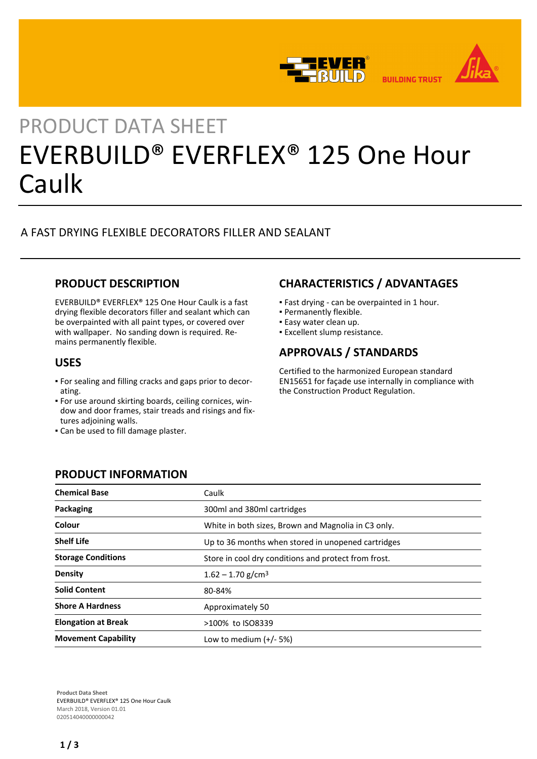

# PRODUCT DATA SHEET EVERBUILD® EVERFLEX® 125 One Hour Caulk

# A FAST DRYING FLEXIBLE DECORATORS FILLER AND SEALANT

# **PRODUCT DESCRIPTION**

EVERBUILD® EVERFLEX® 125 One Hour Caulk is a fast drying flexible decorators filler and sealant which can be overpainted with all paint types, or covered over with wallpaper. No sanding down is required. Remains permanently flexible.

## **USES**

- For sealing and filling cracks and gaps prior to decor-▪ ating.
- For use around skirting boards, ceiling cornices, win-▪ dow and door frames, stair treads and risings and fixtures adjoining walls.
- **.** Can be used to fill damage plaster.

**PRODUCT INFORMATION**

# **CHARACTERISTICS / ADVANTAGES**

- Fast drying can be overpainted in 1 hour.
- Permanently flexible.
- **Easy water clean up.**
- **Excellent slump resistance.**

# **APPROVALS / STANDARDS**

Certified to the harmonized European standard EN15651 for façade use internally in compliance with the Construction Product Regulation.

| <b>Chemical Base</b>       | Caulk                                                |  |
|----------------------------|------------------------------------------------------|--|
| Packaging                  | 300ml and 380ml cartridges                           |  |
| Colour                     | White in both sizes, Brown and Magnolia in C3 only.  |  |
| <b>Shelf Life</b>          | Up to 36 months when stored in unopened cartridges   |  |
| <b>Storage Conditions</b>  | Store in cool dry conditions and protect from frost. |  |
| Density                    | $1.62 - 1.70$ g/cm <sup>3</sup>                      |  |
| <b>Solid Content</b>       | 80-84%                                               |  |
| <b>Shore A Hardness</b>    | Approximately 50                                     |  |
| <b>Elongation at Break</b> | >100% to ISO8339                                     |  |
| <b>Movement Capability</b> | Low to medium $(+/- 5%)$                             |  |

**Product Data Sheet** EVERBUILD® EVERFLEX® 125 One Hour Caulk March 2018, Version 01.01 020514040000000042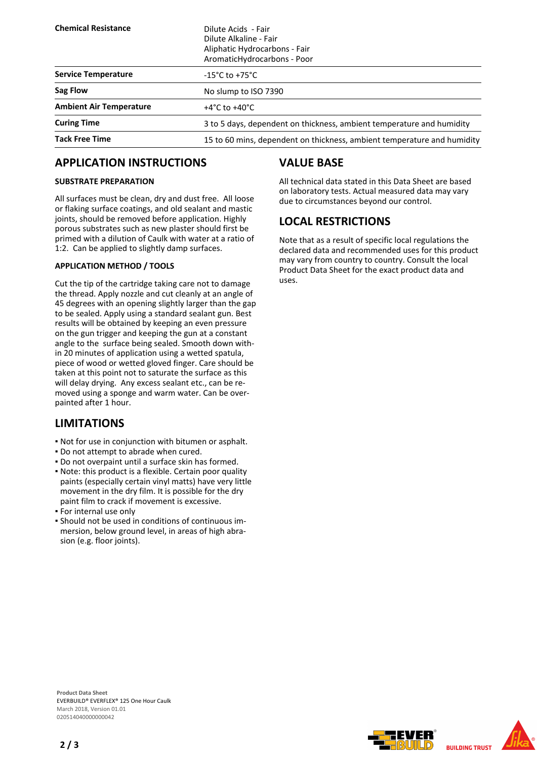| <b>Chemical Resistance</b>     | Dilute Acids - Fair<br>Dilute Alkaline - Fair<br>Aliphatic Hydrocarbons - Fair<br>AromaticHydrocarbons - Poor |  |
|--------------------------------|---------------------------------------------------------------------------------------------------------------|--|
| <b>Service Temperature</b>     | $-15^{\circ}$ C to +75 $^{\circ}$ C                                                                           |  |
| Sag Flow                       | No slump to ISO 7390                                                                                          |  |
| <b>Ambient Air Temperature</b> | $+4^{\circ}$ C to $+40^{\circ}$ C                                                                             |  |
| <b>Curing Time</b>             | 3 to 5 days, dependent on thickness, ambient temperature and humidity                                         |  |
| <b>Tack Free Time</b>          | 15 to 60 mins, dependent on thickness, ambient temperature and humidity                                       |  |

# **APPLICATION INSTRUCTIONS**

### **SUBSTRATE PREPARATION**

All surfaces must be clean, dry and dust free. All loose or flaking surface coatings, and old sealant and mastic joints, should be removed before application. Highly porous substrates such as new plaster should first be primed with a dilution of Caulk with water at a ratio of 1:2. Can be applied to slightly damp surfaces.

## **APPLICATION METHOD / TOOLS**

Cut the tip of the cartridge taking care not to damage the thread. Apply nozzle and cut cleanly at an angle of 45 degrees with an opening slightly larger than the gap to be sealed. Apply using a standard sealant gun. Best results will be obtained by keeping an even pressure on the gun trigger and keeping the gun at a constant angle to the surface being sealed. Smooth down within 20 minutes of application using a wetted spatula, piece of wood or wetted gloved finger. Care should be taken at this point not to saturate the surface as this will delay drying. Any excess sealant etc., can be removed using a sponge and warm water. Can be overpainted after 1 hour.

## **LIMITATIONS**

- Not for use in conjunction with bitumen or asphalt.
- Do not attempt to abrade when cured.
- Do not overpaint until a surface skin has formed.
- Note: this product is a flexible. Certain poor quality paints (especially certain vinyl matts) have very little movement in the dry film. It is possible for the dry paint film to crack if movement is excessive.
- **.** For internal use only
- Should not be used in conditions of continuous im-▪ mersion, below ground level, in areas of high abrasion (e.g. floor joints).

# **VALUE BASE**

All technical data stated in this Data Sheet are based on laboratory tests. Actual measured data may vary due to circumstances beyond our control.

# **LOCAL RESTRICTIONS**

Note that as a result of specific local regulations the declared data and recommended uses for this product may vary from country to country. Consult the local Product Data Sheet for the exact product data and uses.

**Product Data Sheet** EVERBUILD® EVERFLEX® 125 One Hour Caulk March 2018, Version 01.01 020514040000000042